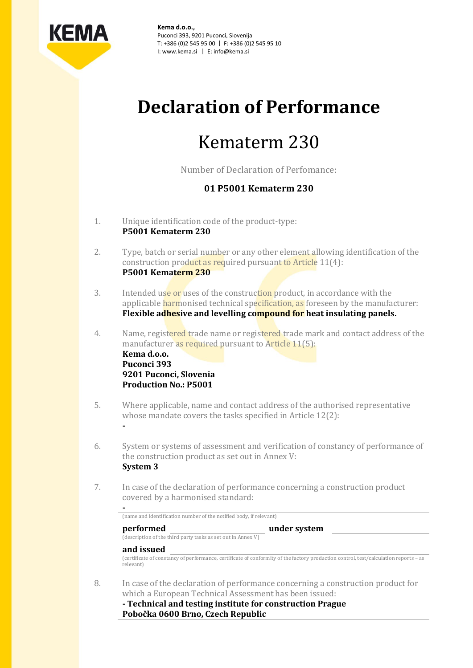

**Kema d.o.o.,** Puconci 393, 9201 Puconci, Slovenija T: +386 (0)2 545 95 00 | F: +386 (0)2 545 95 10 I: www.kema.si | E: info@kema.si

# **Declaration of Performance**

# Kematerm 230

Number of Declaration of Perfomance:

# **01 P5001 Kematerm 230**

1. Unique identification code of the product-type: **P5001 Kematerm 230**

**-**

- 2. Type, batch or serial number or any other element allowing identification of the construction product as required pursuant to Article 11(4): **P5001 Kematerm 230**
- 3. Intended use or uses of the construction product, in accordance with the applicable harmonised technical specification, as foreseen by the manufacturer: **Flexible adhesive and levelling compound for heat insulating panels.**
- 4. Name, registered trade name or registered trade mark and contact address of the manufacturer as required pursuant to Article 11(5): **Kema d.o.o. Puconci 393 9201 Puconci, Slovenia Production No.: P5001**
- 5. Where applicable, name and contact address of the authorised representative whose mandate covers the tasks specified in Article 12(2):
- 6. System or systems of assessment and verification of constancy of performance of the construction product as set out in Annex V: **System 3**
- 7. In case of the declaration of performance concerning a construction product covered by a harmonised standard:

| performed<br>(description of the third party tasks as set out in Annex V) | under system |  |
|---------------------------------------------------------------------------|--------------|--|
| and issued                                                                |              |  |

8. In case of the declaration of performance concerning a construction product for which a European Technical Assessment has been issued:

**- Technical and testing institute for construction Prague Pobočka 0600 Brno, Czech Republic**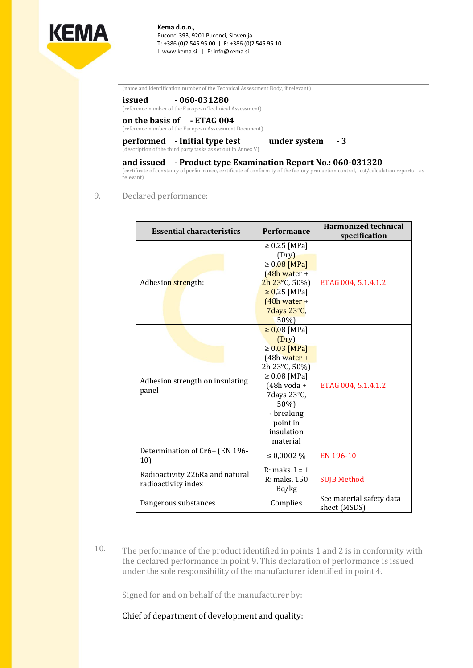

**Kema d.o.o.,** Puconci 393, 9201 Puconci, Slovenija T: +386 (0)2 545 95 00 | F: +386 (0)2 545 95 10 I: www.kema.si | E: info@kema.si

(name and identification number of the Technical Assessment Body, if relevant)

### **issued - 060-031280**

(reference number of the European Technical Assessment)

## **on the basis of - ETAG 004**

(reference number of the European Assessment Document)

#### **performed - Initial type test under system - 3** (description of the third party tasks as set out in Annex V)

### **and issued - Product type Examination Report No.: 060-031320**

(certificate of constancy of performance, certificate of conformity of the factory production control, test/calculation reports – as relevant)

### 9. Declared performance:

| <b>Essential characteristics</b>                       | <b>Performance</b>       | <b>Harmonized technical</b><br>specification |
|--------------------------------------------------------|--------------------------|----------------------------------------------|
| Adhesion strength:                                     | $\geq 0.25$ [MPa]        |                                              |
|                                                        | (Dry)                    |                                              |
|                                                        | $\geq 0.08$ [MPa]        |                                              |
|                                                        | $(48h water +$           |                                              |
|                                                        | $2h\,23^{\circ}$ C, 50%) | ETAG 004, 5.1.4.1.2                          |
|                                                        | $\geq 0.25$ [MPa]        |                                              |
|                                                        | $(48h water +$           |                                              |
|                                                        | 7 days 23°C,             |                                              |
|                                                        | 50%)                     |                                              |
| Adhesion strength on insulating<br>panel               | $\geq 0.08$ [MPa]        | ETAG 004, 5.1.4.1.2                          |
|                                                        | (Dry)                    |                                              |
|                                                        | $\geq 0.03$ [MPa]        |                                              |
|                                                        | $(48h$ water +           |                                              |
|                                                        | 2h 23°C, 50%)            |                                              |
|                                                        | $\geq 0.08$ [MPa]        |                                              |
|                                                        | $(48h voda +$            |                                              |
|                                                        | 7 days 23°C,             |                                              |
|                                                        | 50%)                     |                                              |
|                                                        | - breaking               |                                              |
|                                                        | point in                 |                                              |
|                                                        | insulation               |                                              |
|                                                        | material                 |                                              |
| Determination of Cr6+ (EN 196-<br>10)                  | ≤ 0,0002 $%$             | EN 196-10                                    |
| Radioactivity 226Ra and natural<br>radioactivity index | $R:$ maks. I = 1         |                                              |
|                                                        | R: maks. 150             | <b>SUJB Method</b>                           |
|                                                        | Bq/kg                    |                                              |
| Dangerous substances                                   | Complies                 | See material safety data<br>sheet (MSDS)     |

10. The performance of the product identified in points 1 and 2 is in conformity with the declared performance in point 9. This declaration of performance is issued under the sole responsibility of the manufacturer identified in point 4.

Signed for and on behalf of the manufacturer by:

Chief of department of development and quality: